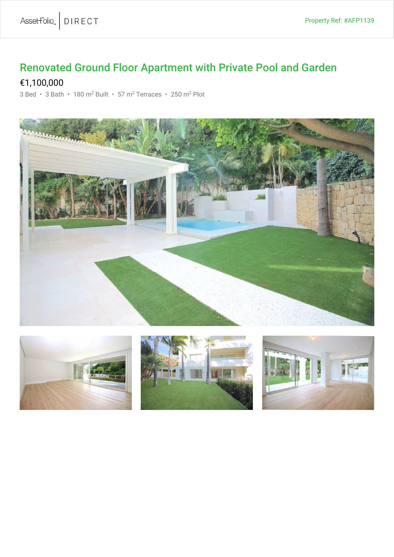## Renovated Ground Floor Apartment with Private Pool and Garden

## €1,100,000

3 Bed · 3 Bath · 180 m<sup>2</sup> Built · 57 m<sup>2</sup> Terraces · 250 m<sup>2</sup> Plot